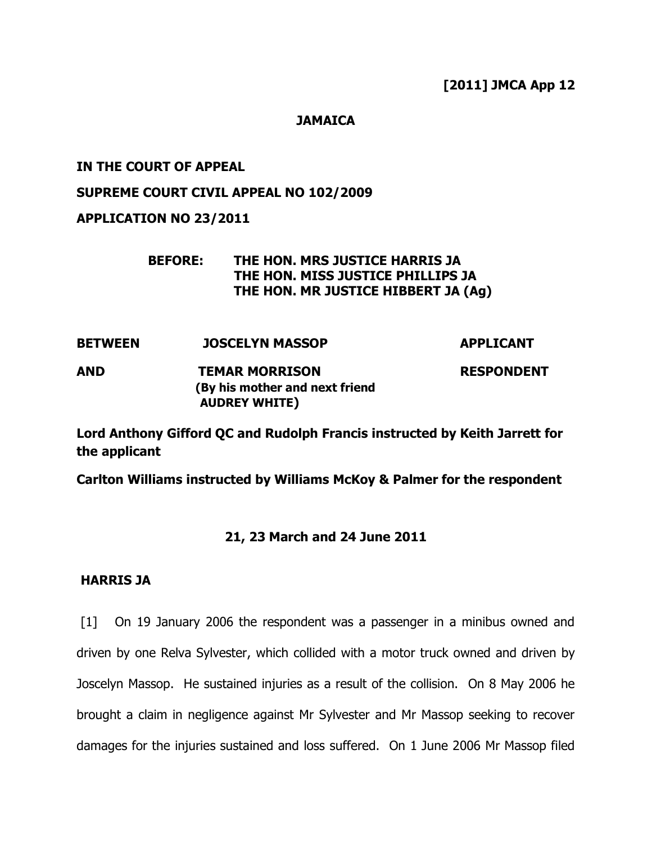## **JAMAICA**

## **IN THE COURT OF APPEAL**

## **SUPREME COURT CIVIL APPEAL NO 102/2009**

## **APPLICATION NO 23/2011**

# **BEFORE: THE HON. MRS JUSTICE HARRIS JA THE HON. MISS JUSTICE PHILLIPS JA THE HON. MR JUSTICE HIBBERT JA (Ag)**

- **BETWEEN JOSCELYN MASSOP APPLICANT**
- **AND TEMAR MORRISON RESPONDENT (By his mother and next friend AUDREY WHITE)**

**Lord Anthony Gifford QC and Rudolph Francis instructed by Keith Jarrett for the applicant**

**Carlton Williams instructed by Williams McKoy & Palmer for the respondent**

## **21, 23 March and 24 June 2011**

## **HARRIS JA**

[1] On 19 January 2006 the respondent was a passenger in a minibus owned and driven by one Relva Sylvester, which collided with a motor truck owned and driven by Joscelyn Massop. He sustained injuries as a result of the collision. On 8 May 2006 he brought a claim in negligence against Mr Sylvester and Mr Massop seeking to recover damages for the injuries sustained and loss suffered. On 1 June 2006 Mr Massop filed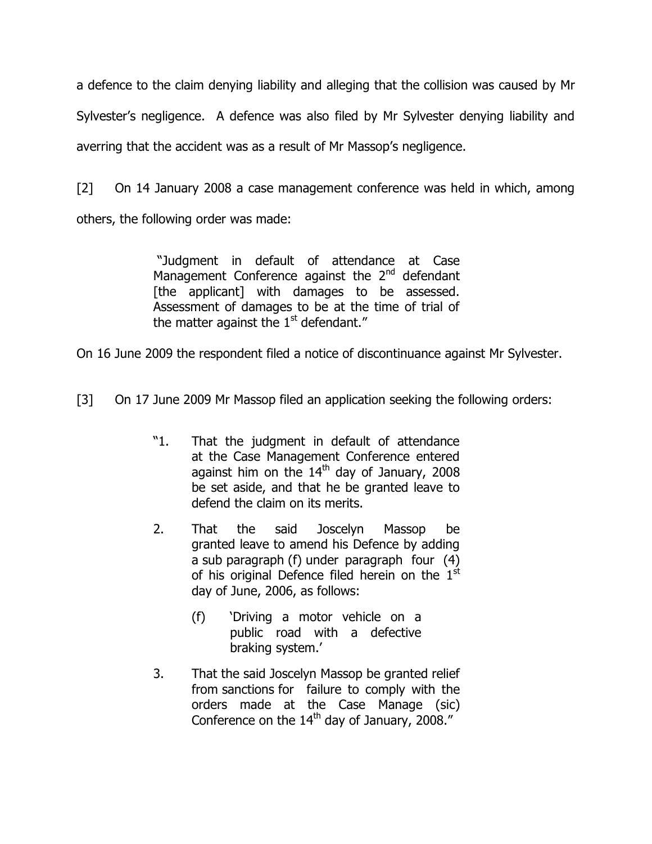a defence to the claim denying liability and alleging that the collision was caused by Mr Sylvester"s negligence. A defence was also filed by Mr Sylvester denying liability and averring that the accident was as a result of Mr Massop's negligence.

[2] On 14 January 2008 a case management conference was held in which, among others, the following order was made:

> "Judgment in default of attendance at Case Management Conference against the  $2<sup>nd</sup>$  defendant [the applicant] with damages to be assessed. Assessment of damages to be at the time of trial of the matter against the  $1<sup>st</sup>$  defendant."

On 16 June 2009 the respondent filed a notice of discontinuance against Mr Sylvester.

- [3] On 17 June 2009 Mr Massop filed an application seeking the following orders:
	- "1. That the judgment in default of attendance at the Case Management Conference entered against him on the  $14<sup>th</sup>$  day of January, 2008 be set aside, and that he be granted leave to defend the claim on its merits.
	- 2. That the said Joscelyn Massop be granted leave to amend his Defence by adding a sub paragraph (f) under paragraph four (4) of his original Defence filed herein on the  $1<sup>st</sup>$ day of June, 2006, as follows:
		- (f) "Driving a motor vehicle on a public road with a defective braking system.'
	- 3. That the said Joscelyn Massop be granted relief from sanctions for failure to comply with the orders made at the Case Manage (sic) Conference on the 14<sup>th</sup> day of January, 2008."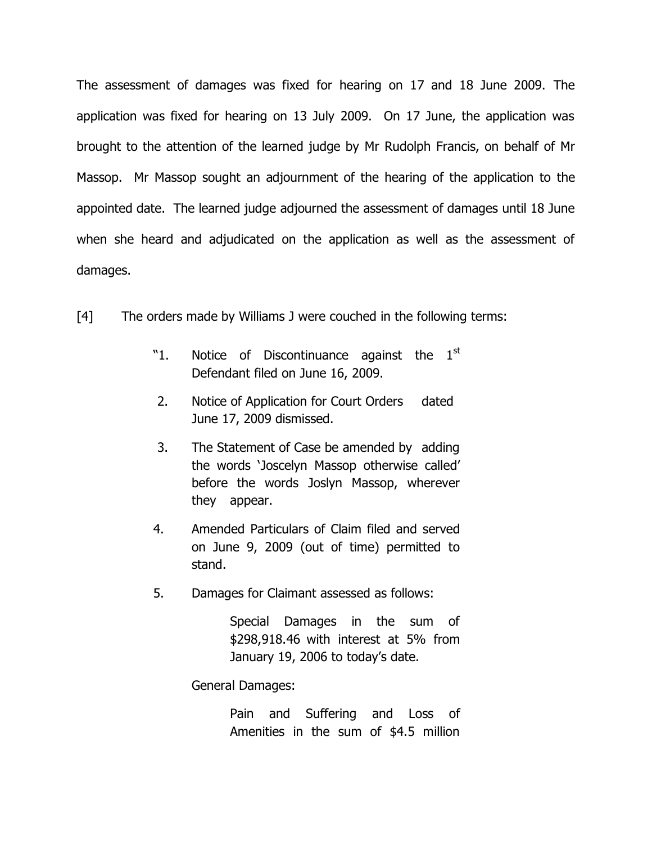The assessment of damages was fixed for hearing on 17 and 18 June 2009. The application was fixed for hearing on 13 July 2009. On 17 June, the application was brought to the attention of the learned judge by Mr Rudolph Francis, on behalf of Mr Massop. Mr Massop sought an adjournment of the hearing of the application to the appointed date. The learned judge adjourned the assessment of damages until 18 June when she heard and adjudicated on the application as well as the assessment of damages.

[4] The orders made by Williams J were couched in the following terms:

- "1. Notice of Discontinuance against the  $1<sup>st</sup>$ Defendant filed on June 16, 2009.
- 2. Notice of Application for Court Orders dated June 17, 2009 dismissed.
- 3. The Statement of Case be amended by adding the words "Joscelyn Massop otherwise called" before the words Joslyn Massop, wherever they appear.
- 4. Amended Particulars of Claim filed and served on June 9, 2009 (out of time) permitted to stand.
- 5. Damages for Claimant assessed as follows:

Special Damages in the sum of \$298,918.46 with interest at 5% from January 19, 2006 to today's date.

General Damages:

Pain and Suffering and Loss of Amenities in the sum of \$4.5 million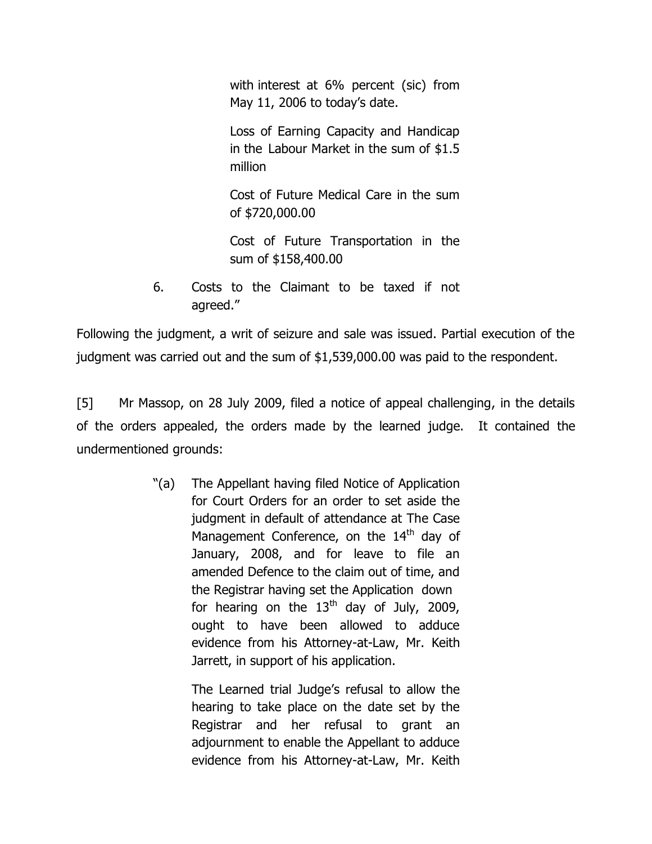with interest at 6% percent (sic) from May 11, 2006 to today's date.

Loss of Earning Capacity and Handicap in the Labour Market in the sum of \$1.5 million

Cost of Future Medical Care in the sum of \$720,000.00

Cost of Future Transportation in the sum of \$158,400.00

6. Costs to the Claimant to be taxed if not agreed."

Following the judgment, a writ of seizure and sale was issued. Partial execution of the judgment was carried out and the sum of \$1,539,000.00 was paid to the respondent.

[5] Mr Massop, on 28 July 2009, filed a notice of appeal challenging, in the details of the orders appealed, the orders made by the learned judge. It contained the undermentioned grounds:

> "(a) The Appellant having filed Notice of Application for Court Orders for an order to set aside the judgment in default of attendance at The Case Management Conference, on the  $14<sup>th</sup>$  day of January, 2008, and for leave to file an amended Defence to the claim out of time, and the Registrar having set the Application down for hearing on the  $13<sup>th</sup>$  day of July, 2009, ought to have been allowed to adduce evidence from his Attorney-at-Law, Mr. Keith Jarrett, in support of his application.

> > The Learned trial Judge"s refusal to allow the hearing to take place on the date set by the Registrar and her refusal to grant an adjournment to enable the Appellant to adduce evidence from his Attorney-at-Law, Mr. Keith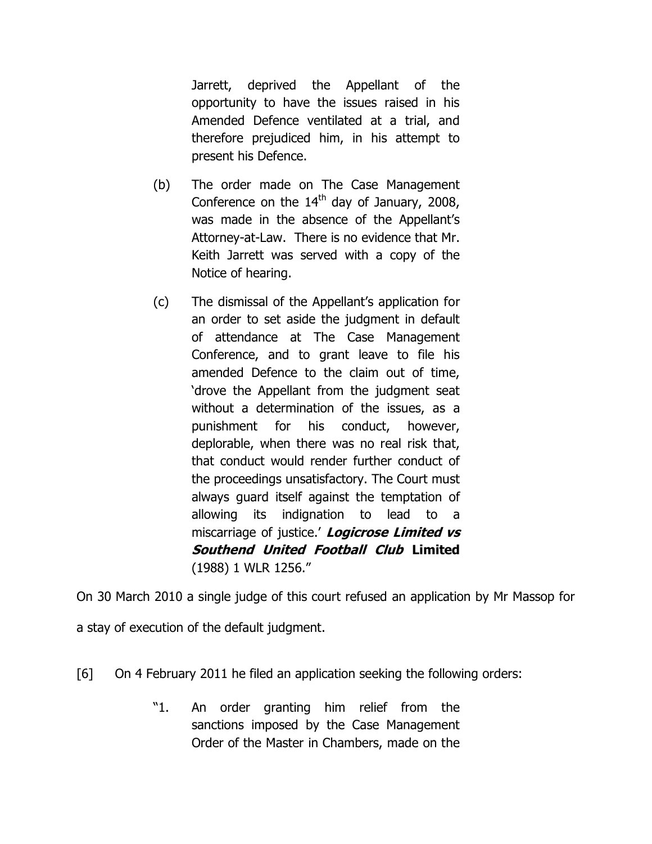Jarrett, deprived the Appellant of the opportunity to have the issues raised in his Amended Defence ventilated at a trial, and therefore prejudiced him, in his attempt to present his Defence.

- (b) The order made on The Case Management Conference on the  $14<sup>th</sup>$  day of January, 2008, was made in the absence of the Appellant's Attorney-at-Law. There is no evidence that Mr. Keith Jarrett was served with a copy of the Notice of hearing.
- (c) The dismissal of the Appellant"s application for an order to set aside the judgment in default of attendance at The Case Management Conference, and to grant leave to file his amended Defence to the claim out of time, "drove the Appellant from the judgment seat without a determination of the issues, as a punishment for his conduct, however, deplorable, when there was no real risk that, that conduct would render further conduct of the proceedings unsatisfactory. The Court must always guard itself against the temptation of allowing its indignation to lead to a miscarriage of justice." **Logicrose Limited vs Southend United Football Club Limited** (1988) 1 WLR 1256."

On 30 March 2010 a single judge of this court refused an application by Mr Massop for a stay of execution of the default judgment.

- [6] On 4 February 2011 he filed an application seeking the following orders:
	- "1. An order granting him relief from the sanctions imposed by the Case Management Order of the Master in Chambers, made on the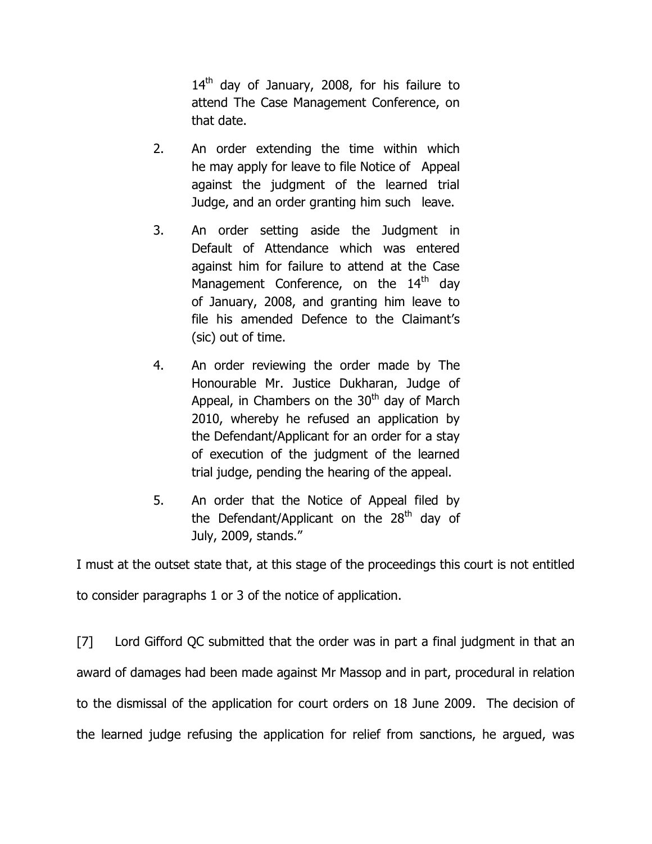$14<sup>th</sup>$  day of January, 2008, for his failure to attend The Case Management Conference, on that date.

- 2. An order extending the time within which he may apply for leave to file Notice of Appeal against the judgment of the learned trial Judge, and an order granting him such leave.
- 3. An order setting aside the Judgment in Default of Attendance which was entered against him for failure to attend at the Case Management Conference, on the 14<sup>th</sup> day of January, 2008, and granting him leave to file his amended Defence to the Claimant's (sic) out of time.
- 4. An order reviewing the order made by The Honourable Mr. Justice Dukharan, Judge of Appeal, in Chambers on the  $30<sup>th</sup>$  day of March 2010, whereby he refused an application by the Defendant/Applicant for an order for a stay of execution of the judgment of the learned trial judge, pending the hearing of the appeal.
- 5. An order that the Notice of Appeal filed by the Defendant/Applicant on the  $28<sup>th</sup>$  day of July, 2009, stands."

I must at the outset state that, at this stage of the proceedings this court is not entitled to consider paragraphs 1 or 3 of the notice of application.

[7] Lord Gifford QC submitted that the order was in part a final judgment in that an award of damages had been made against Mr Massop and in part, procedural in relation to the dismissal of the application for court orders on 18 June 2009. The decision of the learned judge refusing the application for relief from sanctions, he argued, was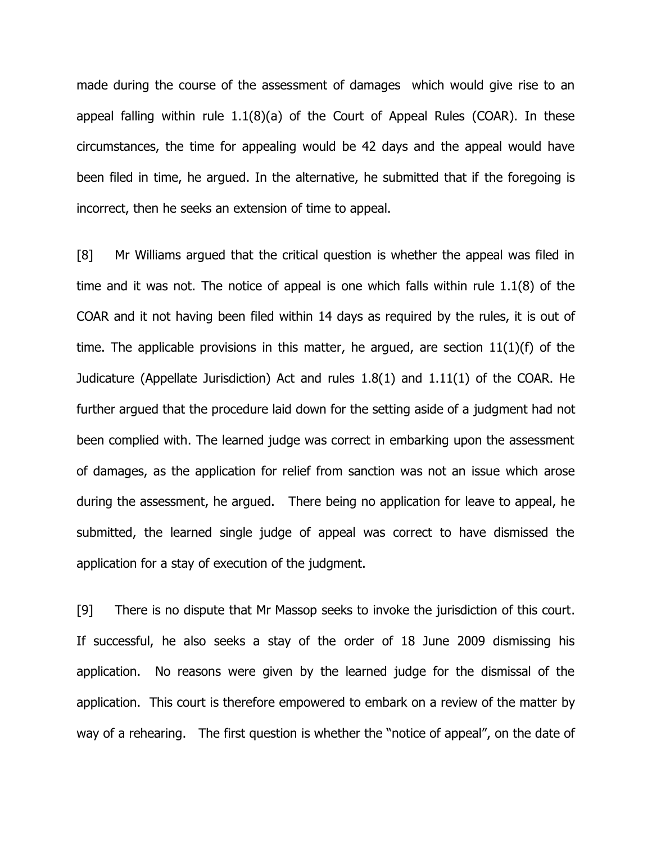made during the course of the assessment of damages which would give rise to an appeal falling within rule 1.1(8)(a) of the Court of Appeal Rules (COAR). In these circumstances, the time for appealing would be 42 days and the appeal would have been filed in time, he argued. In the alternative, he submitted that if the foregoing is incorrect, then he seeks an extension of time to appeal.

[8] Mr Williams argued that the critical question is whether the appeal was filed in time and it was not. The notice of appeal is one which falls within rule 1.1(8) of the COAR and it not having been filed within 14 days as required by the rules, it is out of time. The applicable provisions in this matter, he argued, are section  $11(1)(f)$  of the Judicature (Appellate Jurisdiction) Act and rules 1.8(1) and 1.11(1) of the COAR. He further argued that the procedure laid down for the setting aside of a judgment had not been complied with. The learned judge was correct in embarking upon the assessment of damages, as the application for relief from sanction was not an issue which arose during the assessment, he argued. There being no application for leave to appeal, he submitted, the learned single judge of appeal was correct to have dismissed the application for a stay of execution of the judgment.

[9] There is no dispute that Mr Massop seeks to invoke the jurisdiction of this court. If successful, he also seeks a stay of the order of 18 June 2009 dismissing his application. No reasons were given by the learned judge for the dismissal of the application. This court is therefore empowered to embark on a review of the matter by way of a rehearing. The first question is whether the "notice of appeal", on the date of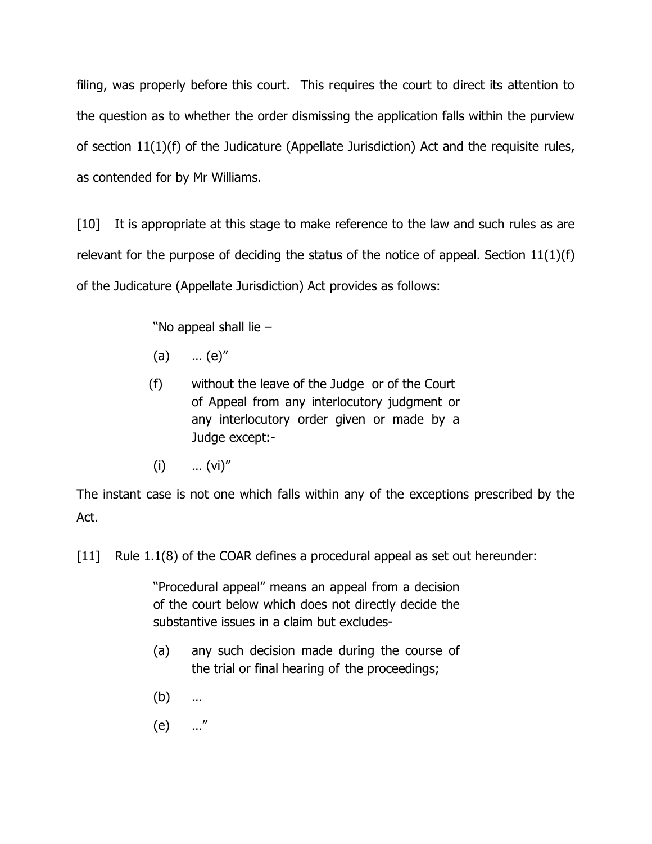filing, was properly before this court. This requires the court to direct its attention to the question as to whether the order dismissing the application falls within the purview of section 11(1)(f) of the Judicature (Appellate Jurisdiction) Act and the requisite rules, as contended for by Mr Williams.

[10] It is appropriate at this stage to make reference to the law and such rules as are relevant for the purpose of deciding the status of the notice of appeal. Section  $11(1)(f)$ of the Judicature (Appellate Jurisdiction) Act provides as follows:

"No appeal shall lie  $-$ 

- (a) … (e)"
- (f) without the leave of the Judge or of the Court of Appeal from any interlocutory judgment or any interlocutory order given or made by a Judge except:-
- $(i)$  ...  $(vi)''$

The instant case is not one which falls within any of the exceptions prescribed by the Act.

[11] Rule 1.1(8) of the COAR defines a procedural appeal as set out hereunder:

"Procedural appeal" means an appeal from a decision of the court below which does not directly decide the substantive issues in a claim but excludes-

- (a) any such decision made during the course of the trial or final hearing of the proceedings;
- (b) …
- (e) …"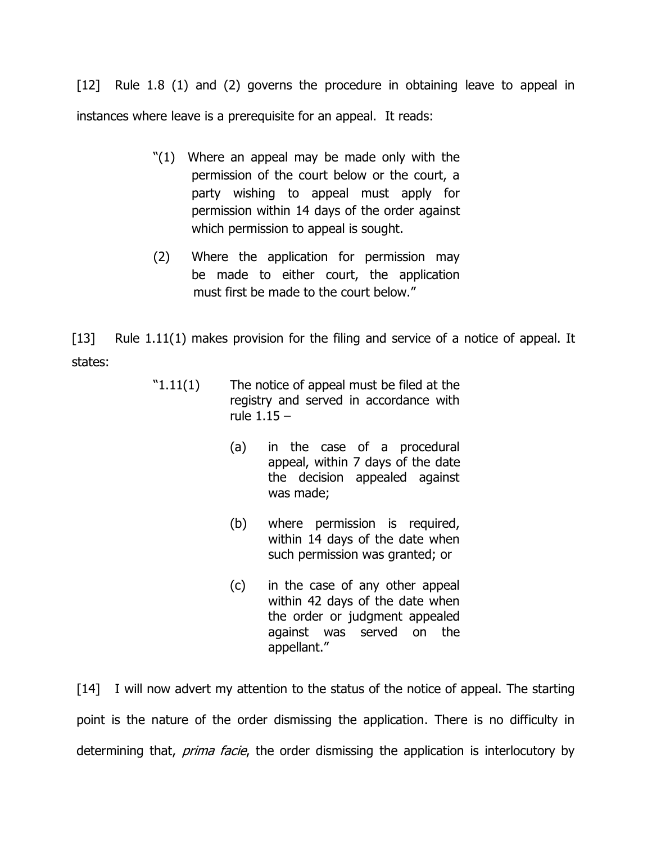[12] Rule 1.8 (1) and (2) governs the procedure in obtaining leave to appeal in instances where leave is a prerequisite for an appeal. It reads:

- "(1) Where an appeal may be made only with the permission of the court below or the court, a party wishing to appeal must apply for permission within 14 days of the order against which permission to appeal is sought.
- (2) Where the application for permission may be made to either court, the application must first be made to the court below."

[13] Rule 1.11(1) makes provision for the filing and service of a notice of appeal. It states:

- $"1.11(1)$  The notice of appeal must be filed at the registry and served in accordance with rule 1.15 –
	- (a) in the case of a procedural appeal, within 7 days of the date the decision appealed against was made;
	- (b) where permission is required, within 14 days of the date when such permission was granted; or
	- (c) in the case of any other appeal within 42 days of the date when the order or judgment appealed against was served on the appellant."

[14] I will now advert my attention to the status of the notice of appeal. The starting point is the nature of the order dismissing the application. There is no difficulty in determining that, *prima facie*, the order dismissing the application is interlocutory by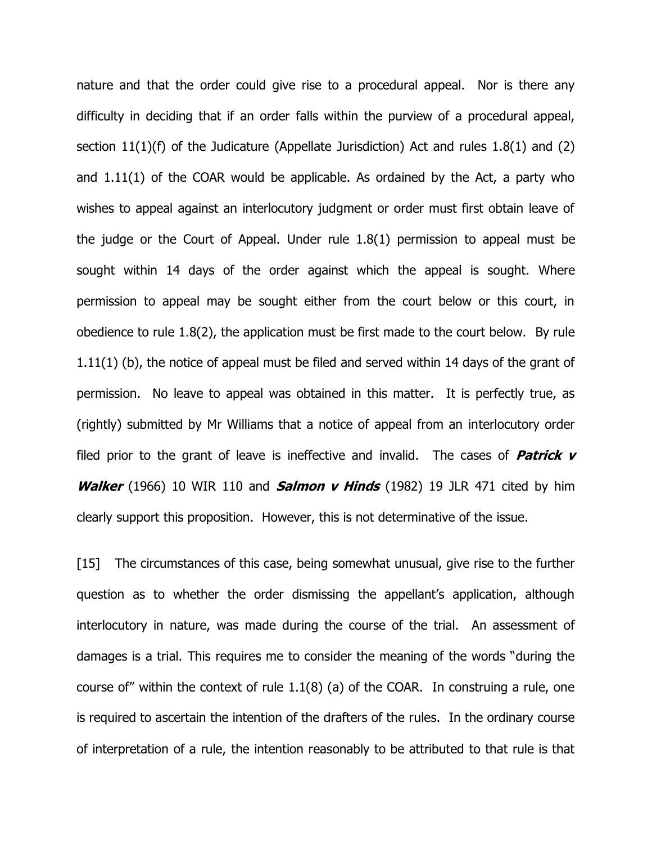nature and that the order could give rise to a procedural appeal. Nor is there any difficulty in deciding that if an order falls within the purview of a procedural appeal, section 11(1)(f) of the Judicature (Appellate Jurisdiction) Act and rules 1.8(1) and (2) and 1.11(1) of the COAR would be applicable. As ordained by the Act, a party who wishes to appeal against an interlocutory judgment or order must first obtain leave of the judge or the Court of Appeal. Under rule 1.8(1) permission to appeal must be sought within 14 days of the order against which the appeal is sought. Where permission to appeal may be sought either from the court below or this court, in obedience to rule 1.8(2), the application must be first made to the court below. By rule 1.11(1) (b), the notice of appeal must be filed and served within 14 days of the grant of permission. No leave to appeal was obtained in this matter. It is perfectly true, as (rightly) submitted by Mr Williams that a notice of appeal from an interlocutory order filed prior to the grant of leave is ineffective and invalid. The cases of **Patrick <sup>v</sup> Walker** (1966) 10 WIR 110 and **Salmon v Hinds** (1982) 19 JLR 471 cited by him clearly support this proposition. However, this is not determinative of the issue.

[15] The circumstances of this case, being somewhat unusual, give rise to the further question as to whether the order dismissing the appellant's application, although interlocutory in nature, was made during the course of the trial. An assessment of damages is a trial. This requires me to consider the meaning of the words "during the course of" within the context of rule 1.1(8) (a) of the COAR. In construing a rule, one is required to ascertain the intention of the drafters of the rules. In the ordinary course of interpretation of a rule, the intention reasonably to be attributed to that rule is that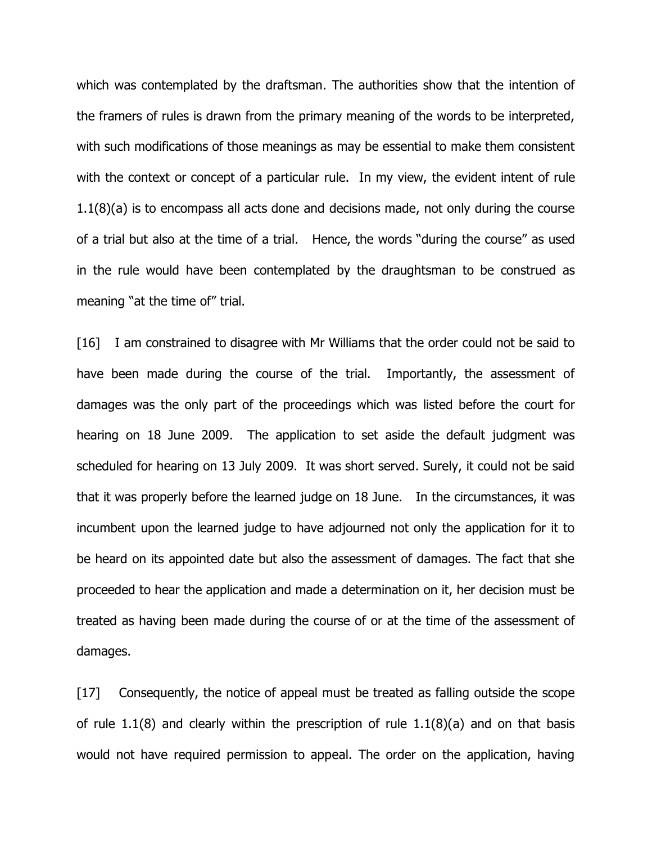which was contemplated by the draftsman. The authorities show that the intention of the framers of rules is drawn from the primary meaning of the words to be interpreted, with such modifications of those meanings as may be essential to make them consistent with the context or concept of a particular rule. In my view, the evident intent of rule 1.1(8)(a) is to encompass all acts done and decisions made, not only during the course of a trial but also at the time of a trial. Hence, the words "during the course" as used in the rule would have been contemplated by the draughtsman to be construed as meaning "at the time of" trial.

[16] I am constrained to disagree with Mr Williams that the order could not be said to have been made during the course of the trial. Importantly, the assessment of damages was the only part of the proceedings which was listed before the court for hearing on 18 June 2009. The application to set aside the default judgment was scheduled for hearing on 13 July 2009. It was short served. Surely, it could not be said that it was properly before the learned judge on 18 June. In the circumstances, it was incumbent upon the learned judge to have adjourned not only the application for it to be heard on its appointed date but also the assessment of damages. The fact that she proceeded to hear the application and made a determination on it, her decision must be treated as having been made during the course of or at the time of the assessment of damages.

[17] Consequently, the notice of appeal must be treated as falling outside the scope of rule  $1.1(8)$  and clearly within the prescription of rule  $1.1(8)(a)$  and on that basis would not have required permission to appeal. The order on the application, having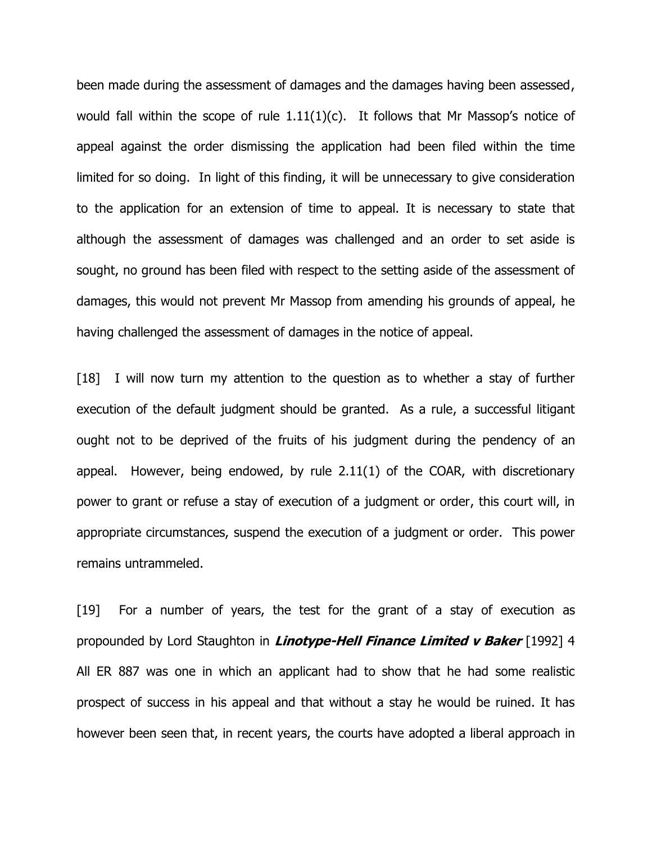been made during the assessment of damages and the damages having been assessed, would fall within the scope of rule  $1.11(1)(c)$ . It follows that Mr Massop's notice of appeal against the order dismissing the application had been filed within the time limited for so doing. In light of this finding, it will be unnecessary to give consideration to the application for an extension of time to appeal. It is necessary to state that although the assessment of damages was challenged and an order to set aside is sought, no ground has been filed with respect to the setting aside of the assessment of damages, this would not prevent Mr Massop from amending his grounds of appeal, he having challenged the assessment of damages in the notice of appeal.

[18] I will now turn my attention to the question as to whether a stay of further execution of the default judgment should be granted. As a rule, a successful litigant ought not to be deprived of the fruits of his judgment during the pendency of an appeal. However, being endowed, by rule 2.11(1) of the COAR, with discretionary power to grant or refuse a stay of execution of a judgment or order, this court will, in appropriate circumstances, suspend the execution of a judgment or order. This power remains untrammeled.

[19] For a number of years, the test for the grant of a stay of execution as propounded by Lord Staughton in **Linotype-Hell Finance Limited v Baker** [1992] 4 All ER 887 was one in which an applicant had to show that he had some realistic prospect of success in his appeal and that without a stay he would be ruined. It has however been seen that, in recent years, the courts have adopted a liberal approach in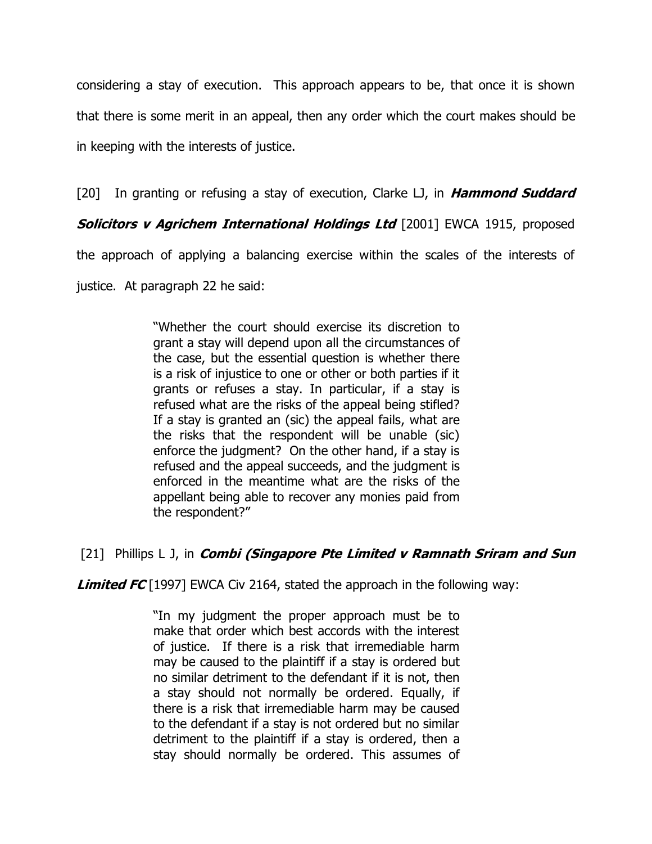considering a stay of execution. This approach appears to be, that once it is shown that there is some merit in an appeal, then any order which the court makes should be in keeping with the interests of justice.

[20] In granting or refusing a stay of execution, Clarke LJ, in **Hammond Suddard**

**Solicitors v Agrichem International Holdings Ltd** [2001] EWCA 1915, proposed

the approach of applying a balancing exercise within the scales of the interests of

justice. At paragraph 22 he said:

"Whether the court should exercise its discretion to grant a stay will depend upon all the circumstances of the case, but the essential question is whether there is a risk of injustice to one or other or both parties if it grants or refuses a stay. In particular, if a stay is refused what are the risks of the appeal being stifled? If a stay is granted an (sic) the appeal fails, what are the risks that the respondent will be unable (sic) enforce the judgment? On the other hand, if a stay is refused and the appeal succeeds, and the judgment is enforced in the meantime what are the risks of the appellant being able to recover any monies paid from the respondent?"

# [21] Phillips L J, in **Combi (Singapore Pte Limited <sup>v</sup> Ramnath Sriram and Sun**

**Limited FC** [1997] EWCA Civ 2164, stated the approach in the following way:

"In my judgment the proper approach must be to make that order which best accords with the interest of justice. If there is a risk that irremediable harm may be caused to the plaintiff if a stay is ordered but no similar detriment to the defendant if it is not, then a stay should not normally be ordered. Equally, if there is a risk that irremediable harm may be caused to the defendant if a stay is not ordered but no similar detriment to the plaintiff if a stay is ordered, then a stay should normally be ordered. This assumes of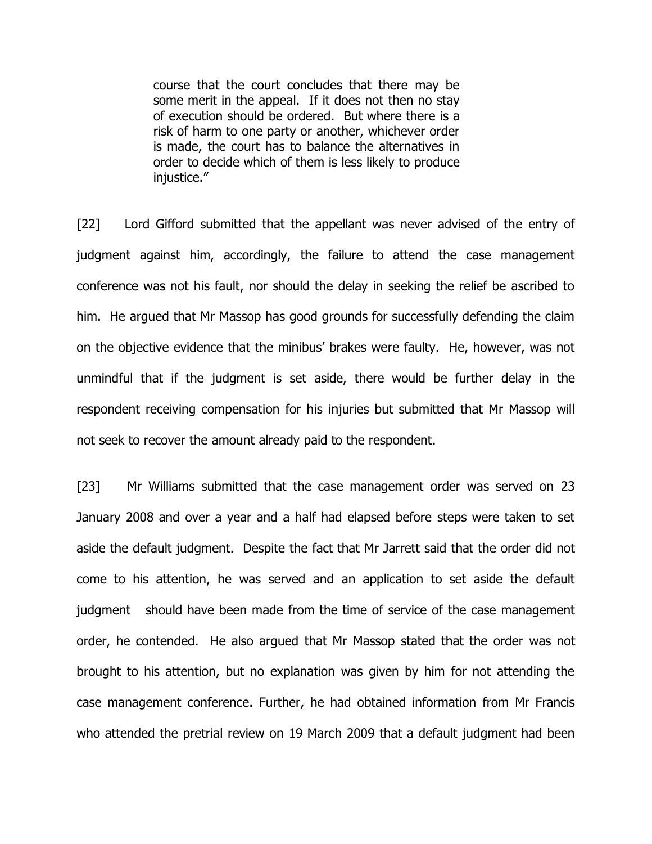course that the court concludes that there may be some merit in the appeal. If it does not then no stay of execution should be ordered. But where there is a risk of harm to one party or another, whichever order is made, the court has to balance the alternatives in order to decide which of them is less likely to produce iniustice."

[22] Lord Gifford submitted that the appellant was never advised of the entry of judgment against him, accordingly, the failure to attend the case management conference was not his fault, nor should the delay in seeking the relief be ascribed to him. He argued that Mr Massop has good grounds for successfully defending the claim on the objective evidence that the minibus" brakes were faulty. He, however, was not unmindful that if the judgment is set aside, there would be further delay in the respondent receiving compensation for his injuries but submitted that Mr Massop will not seek to recover the amount already paid to the respondent.

[23] Mr Williams submitted that the case management order was served on 23 January 2008 and over a year and a half had elapsed before steps were taken to set aside the default judgment. Despite the fact that Mr Jarrett said that the order did not come to his attention, he was served and an application to set aside the default judgment should have been made from the time of service of the case management order, he contended. He also argued that Mr Massop stated that the order was not brought to his attention, but no explanation was given by him for not attending the case management conference. Further, he had obtained information from Mr Francis who attended the pretrial review on 19 March 2009 that a default judgment had been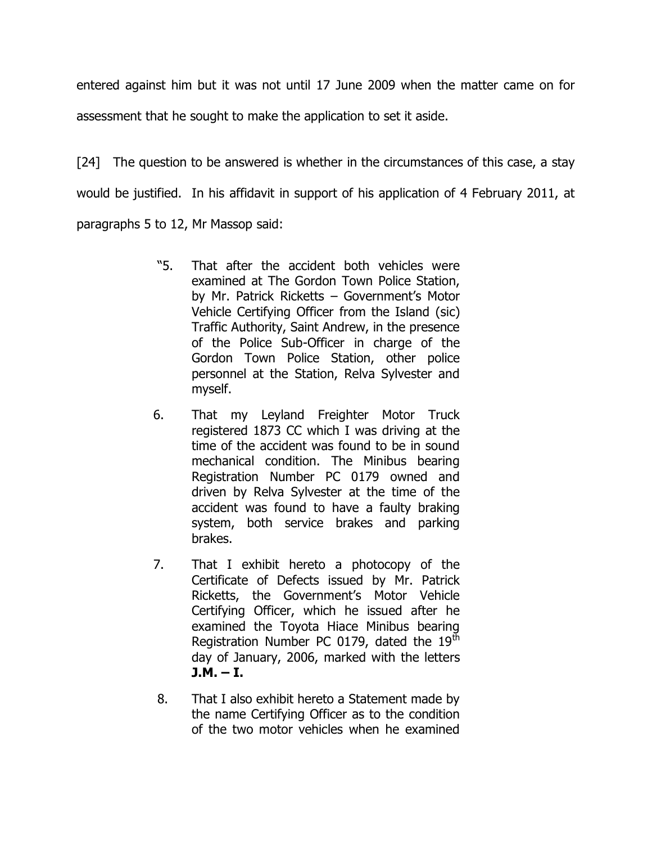entered against him but it was not until 17 June 2009 when the matter came on for assessment that he sought to make the application to set it aside.

[24] The question to be answered is whether in the circumstances of this case, a stay would be justified. In his affidavit in support of his application of 4 February 2011, at paragraphs 5 to 12, Mr Massop said:

- "5. That after the accident both vehicles were examined at The Gordon Town Police Station, by Mr. Patrick Ricketts - Government's Motor Vehicle Certifying Officer from the Island (sic) Traffic Authority, Saint Andrew, in the presence of the Police Sub-Officer in charge of the Gordon Town Police Station, other police personnel at the Station, Relva Sylvester and myself.
- 6. That my Leyland Freighter Motor Truck registered 1873 CC which I was driving at the time of the accident was found to be in sound mechanical condition. The Minibus bearing Registration Number PC 0179 owned and driven by Relva Sylvester at the time of the accident was found to have a faulty braking system, both service brakes and parking brakes.
- 7. That I exhibit hereto a photocopy of the Certificate of Defects issued by Mr. Patrick Ricketts, the Government's Motor Vehicle Certifying Officer, which he issued after he examined the Toyota Hiace Minibus bearing Registration Number PC 0179, dated the  $19<sup>th</sup>$ day of January, 2006, marked with the letters  $J.M. - I.$
- 8. That I also exhibit hereto a Statement made by the name Certifying Officer as to the condition of the two motor vehicles when he examined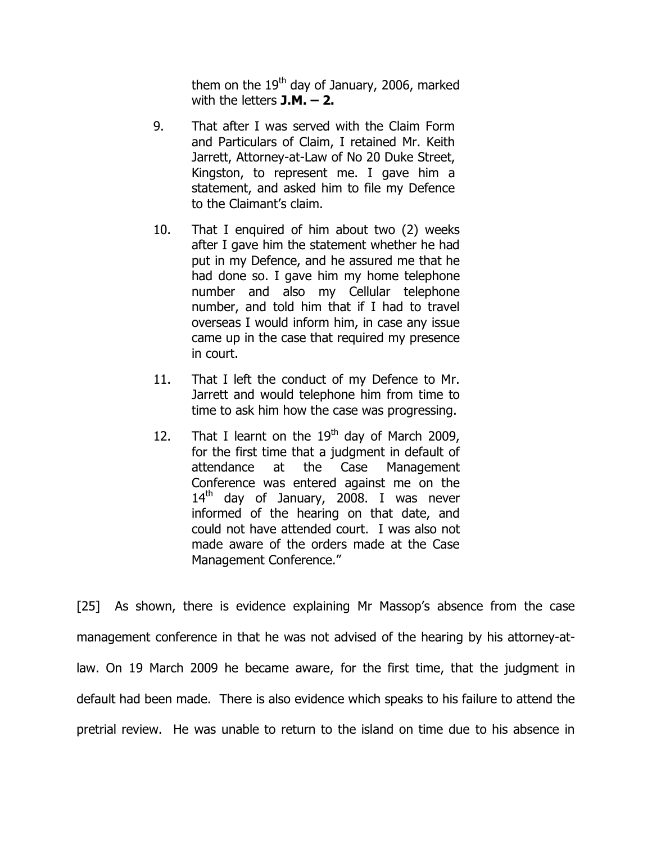them on the  $19<sup>th</sup>$  day of January, 2006, marked with the letters **J.M. – 2.**

- 9. That after I was served with the Claim Form and Particulars of Claim, I retained Mr. Keith Jarrett, Attorney-at-Law of No 20 Duke Street, Kingston, to represent me. I gave him a statement, and asked him to file my Defence to the Claimant"s claim.
- 10. That I enquired of him about two (2) weeks after I gave him the statement whether he had put in my Defence, and he assured me that he had done so. I gave him my home telephone number and also my Cellular telephone number, and told him that if I had to travel overseas I would inform him, in case any issue came up in the case that required my presence in court.
- 11. That I left the conduct of my Defence to Mr. Jarrett and would telephone him from time to time to ask him how the case was progressing.
- 12. That I learnt on the  $19<sup>th</sup>$  day of March 2009, for the first time that a judgment in default of attendance at the Case Management Conference was entered against me on the  $14<sup>th</sup>$  day of January, 2008. I was never informed of the hearing on that date, and could not have attended court. I was also not made aware of the orders made at the Case Management Conference."

[25] As shown, there is evidence explaining Mr Massop's absence from the case management conference in that he was not advised of the hearing by his attorney-atlaw. On 19 March 2009 he became aware, for the first time, that the judgment in default had been made. There is also evidence which speaks to his failure to attend the pretrial review. He was unable to return to the island on time due to his absence in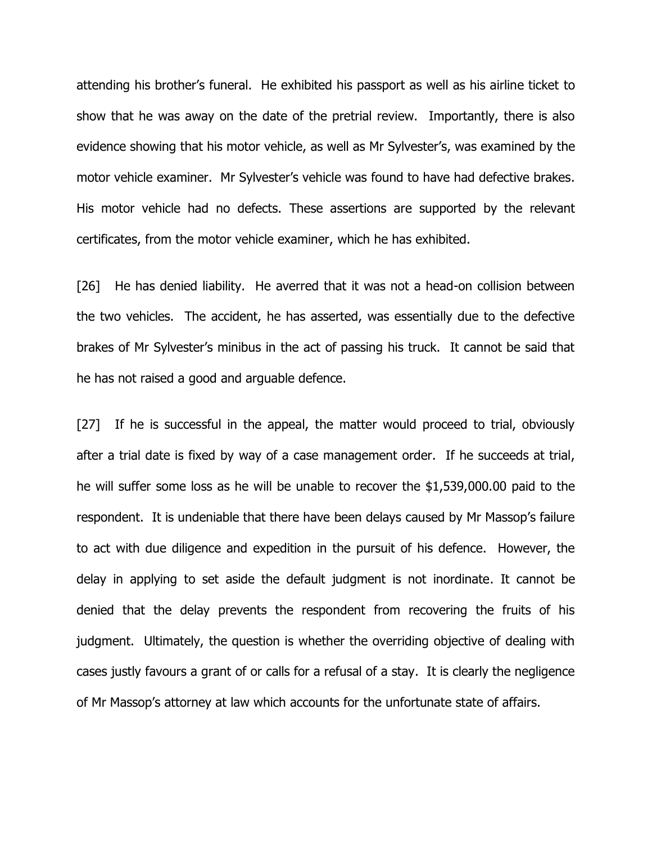attending his brother"s funeral. He exhibited his passport as well as his airline ticket to show that he was away on the date of the pretrial review. Importantly, there is also evidence showing that his motor vehicle, as well as Mr Sylvester"s, was examined by the motor vehicle examiner. Mr Sylvester's vehicle was found to have had defective brakes. His motor vehicle had no defects. These assertions are supported by the relevant certificates, from the motor vehicle examiner, which he has exhibited.

[26] He has denied liability. He averred that it was not a head-on collision between the two vehicles. The accident, he has asserted, was essentially due to the defective brakes of Mr Sylvester"s minibus in the act of passing his truck. It cannot be said that he has not raised a good and arguable defence.

[27] If he is successful in the appeal, the matter would proceed to trial, obviously after a trial date is fixed by way of a case management order. If he succeeds at trial, he will suffer some loss as he will be unable to recover the \$1,539,000.00 paid to the respondent. It is undeniable that there have been delays caused by Mr Massop"s failure to act with due diligence and expedition in the pursuit of his defence. However, the delay in applying to set aside the default judgment is not inordinate. It cannot be denied that the delay prevents the respondent from recovering the fruits of his judgment. Ultimately, the question is whether the overriding objective of dealing with cases justly favours a grant of or calls for a refusal of a stay. It is clearly the negligence of Mr Massop"s attorney at law which accounts for the unfortunate state of affairs.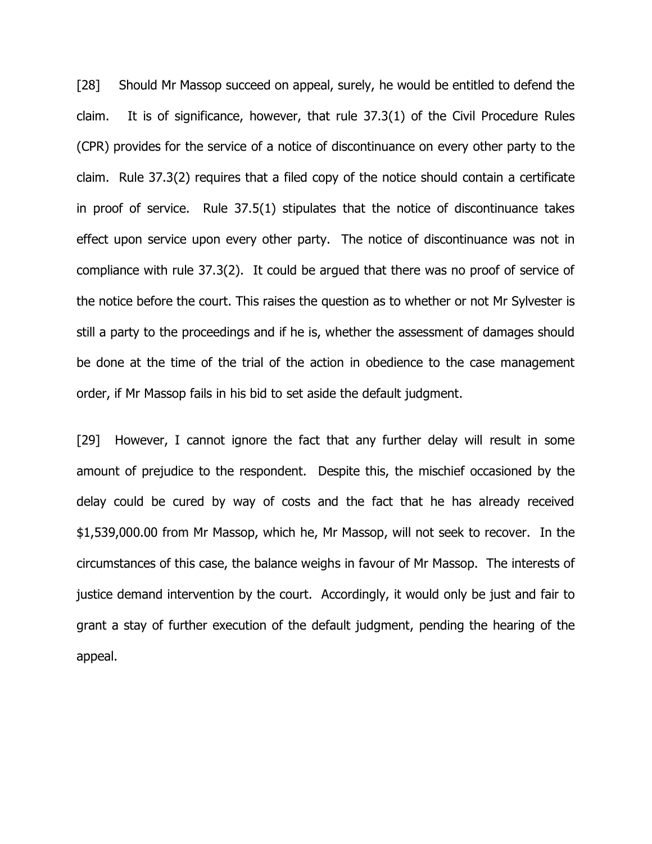[28] Should Mr Massop succeed on appeal, surely, he would be entitled to defend the claim. It is of significance, however, that rule 37.3(1) of the Civil Procedure Rules (CPR) provides for the service of a notice of discontinuance on every other party to the claim. Rule 37.3(2) requires that a filed copy of the notice should contain a certificate in proof of service. Rule 37.5(1) stipulates that the notice of discontinuance takes effect upon service upon every other party. The notice of discontinuance was not in compliance with rule 37.3(2). It could be argued that there was no proof of service of the notice before the court. This raises the question as to whether or not Mr Sylvester is still a party to the proceedings and if he is, whether the assessment of damages should be done at the time of the trial of the action in obedience to the case management order, if Mr Massop fails in his bid to set aside the default judgment.

[29] However, I cannot ignore the fact that any further delay will result in some amount of prejudice to the respondent. Despite this, the mischief occasioned by the delay could be cured by way of costs and the fact that he has already received \$1,539,000.00 from Mr Massop, which he, Mr Massop, will not seek to recover. In the circumstances of this case, the balance weighs in favour of Mr Massop. The interests of justice demand intervention by the court. Accordingly, it would only be just and fair to grant a stay of further execution of the default judgment, pending the hearing of the appeal.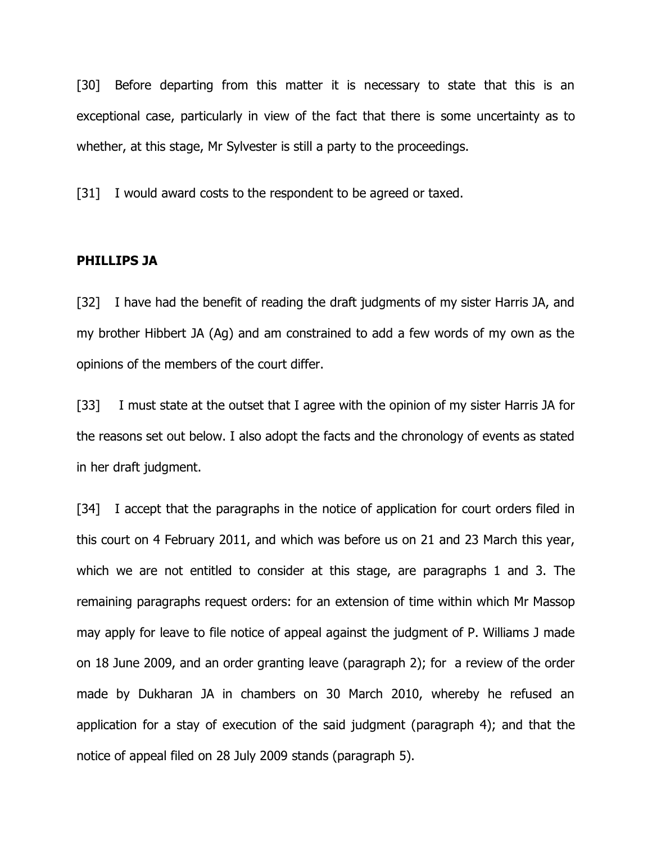[30] Before departing from this matter it is necessary to state that this is an exceptional case, particularly in view of the fact that there is some uncertainty as to whether, at this stage, Mr Sylvester is still a party to the proceedings.

[31] I would award costs to the respondent to be agreed or taxed.

#### **PHILLIPS JA**

[32]I have had the benefit of reading the draft judgments of my sister Harris JA, and my brother Hibbert JA (Ag) and am constrained to add a few words of my own as the opinions of the members of the court differ.

[33] I must state at the outset that I agree with the opinion of my sister Harris JA for the reasons set out below. I also adopt the facts and the chronology of events as stated in her draft judgment.

[34] I accept that the paragraphs in the notice of application for court orders filed in this court on 4 February 2011, and which was before us on 21 and 23 March this year, which we are not entitled to consider at this stage, are paragraphs 1 and 3. The remaining paragraphs request orders: for an extension of time within which Mr Massop may apply for leave to file notice of appeal against the judgment of P. Williams J made on 18 June 2009, and an order granting leave (paragraph 2); for a review of the order made by Dukharan JA in chambers on 30 March 2010, whereby he refused an application for a stay of execution of the said judgment (paragraph 4); and that the notice of appeal filed on 28 July 2009 stands (paragraph 5).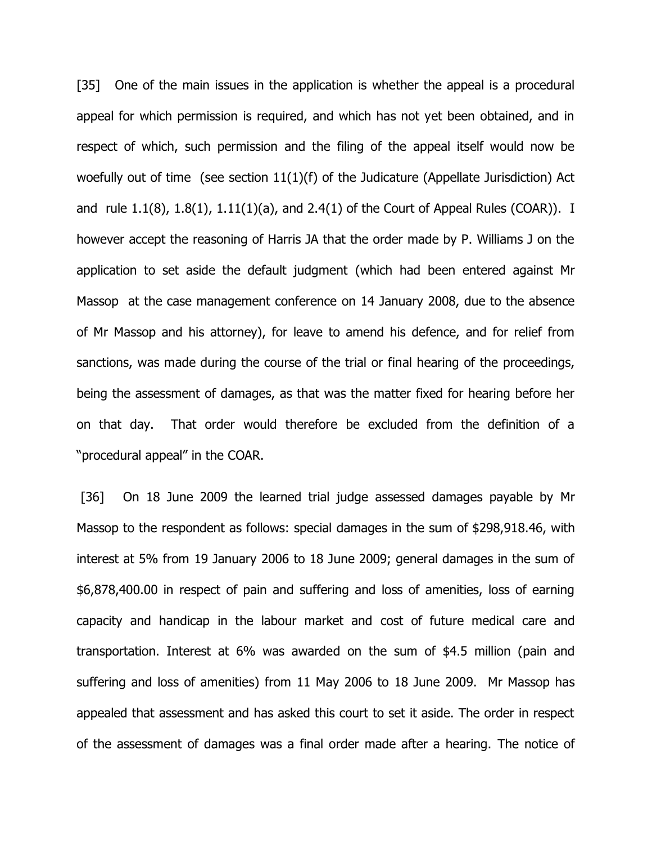[35] One of the main issues in the application is whether the appeal is a procedural appeal for which permission is required, and which has not yet been obtained, and in respect of which, such permission and the filing of the appeal itself would now be woefully out of time (see section 11(1)(f) of the Judicature (Appellate Jurisdiction) Act and rule 1.1(8), 1.8(1), 1.11(1)(a), and 2.4(1) of the Court of Appeal Rules (COAR)). I however accept the reasoning of Harris JA that the order made by P. Williams J on the application to set aside the default judgment (which had been entered against Mr Massop at the case management conference on 14 January 2008, due to the absence of Mr Massop and his attorney), for leave to amend his defence, and for relief from sanctions, was made during the course of the trial or final hearing of the proceedings, being the assessment of damages, as that was the matter fixed for hearing before her on that day. That order would therefore be excluded from the definition of a "procedural appeal" in the COAR.

[36] On 18 June 2009 the learned trial judge assessed damages payable by Mr Massop to the respondent as follows: special damages in the sum of \$298,918.46, with interest at 5% from 19 January 2006 to 18 June 2009; general damages in the sum of \$6,878,400.00 in respect of pain and suffering and loss of amenities, loss of earning capacity and handicap in the labour market and cost of future medical care and transportation. Interest at 6% was awarded on the sum of \$4.5 million (pain and suffering and loss of amenities) from 11 May 2006 to 18 June 2009. Mr Massop has appealed that assessment and has asked this court to set it aside. The order in respect of the assessment of damages was a final order made after a hearing. The notice of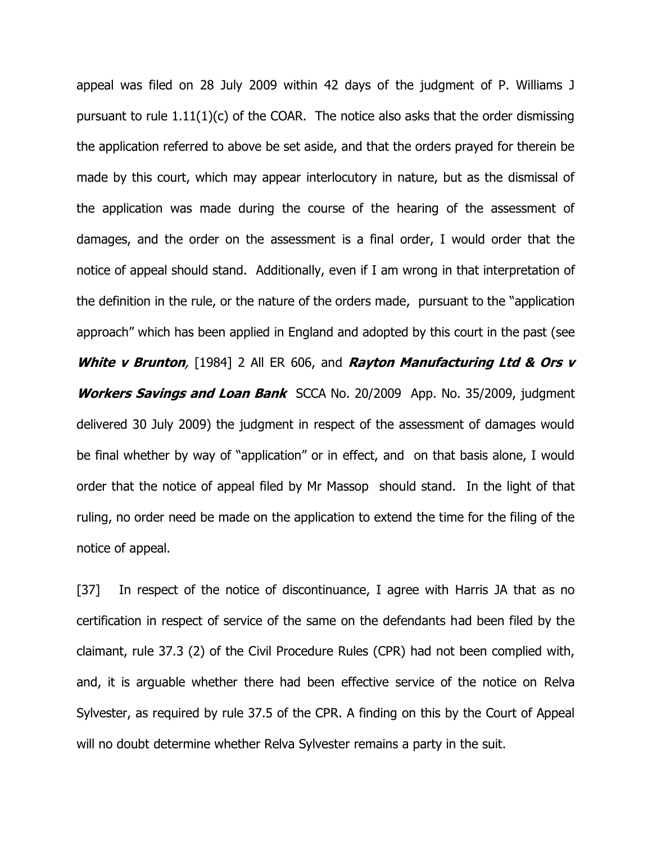appeal was filed on 28 July 2009 within 42 days of the judgment of P. Williams J pursuant to rule 1.11(1)(c) of the COAR. The notice also asks that the order dismissing the application referred to above be set aside, and that the orders prayed for therein be made by this court, which may appear interlocutory in nature, but as the dismissal of the application was made during the course of the hearing of the assessment of damages, and the order on the assessment is a final order, I would order that the notice of appeal should stand. Additionally, even if I am wrong in that interpretation of the definition in the rule, or the nature of the orders made, pursuant to the "application approach" which has been applied in England and adopted by this court in the past (see **White v Brunton**, [1984] 2 All ER 606, and **Rayton Manufacturing Ltd & Ors v Workers Savings and Loan Bank** SCCA No. 20/2009 App. No. 35/2009, judgment delivered 30 July 2009) the judgment in respect of the assessment of damages would be final whether by way of "application" or in effect, and on that basis alone, I would order that the notice of appeal filed by Mr Massop should stand. In the light of that ruling, no order need be made on the application to extend the time for the filing of the notice of appeal.

[37] In respect of the notice of discontinuance, I agree with Harris JA that as no certification in respect of service of the same on the defendants had been filed by the claimant, rule 37.3 (2) of the Civil Procedure Rules (CPR) had not been complied with, and, it is arguable whether there had been effective service of the notice on Relva Sylvester, as required by rule 37.5 of the CPR. A finding on this by the Court of Appeal will no doubt determine whether Relva Sylvester remains a party in the suit.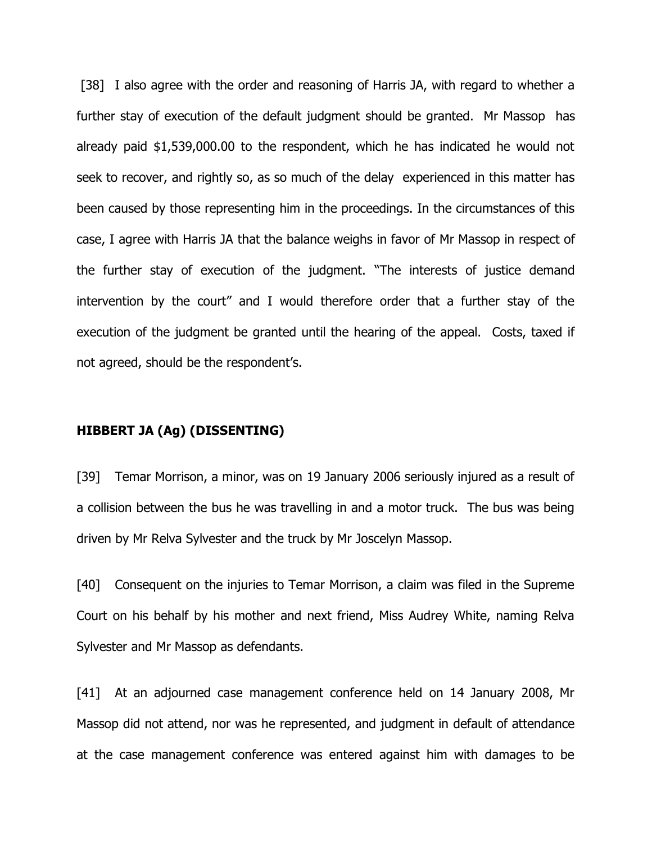[38] I also agree with the order and reasoning of Harris JA, with regard to whether a further stay of execution of the default judgment should be granted. Mr Massop has already paid \$1,539,000.00 to the respondent, which he has indicated he would not seek to recover, and rightly so, as so much of the delay experienced in this matter has been caused by those representing him in the proceedings. In the circumstances of this case, I agree with Harris JA that the balance weighs in favor of Mr Massop in respect of the further stay of execution of the judgment. "The interests of justice demand intervention by the court" and I would therefore order that a further stay of the execution of the judgment be granted until the hearing of the appeal. Costs, taxed if not agreed, should be the respondent's.

### **HIBBERT JA (Ag) (DISSENTING)**

[39] Temar Morrison, a minor, was on 19 January 2006 seriously injured as a result of a collision between the bus he was travelling in and a motor truck. The bus was being driven by Mr Relva Sylvester and the truck by Mr Joscelyn Massop.

[40] Consequent on the injuries to Temar Morrison, a claim was filed in the Supreme Court on his behalf by his mother and next friend, Miss Audrey White, naming Relva Sylvester and Mr Massop as defendants.

[41] At an adjourned case management conference held on 14 January 2008, Mr Massop did not attend, nor was he represented, and judgment in default of attendance at the case management conference was entered against him with damages to be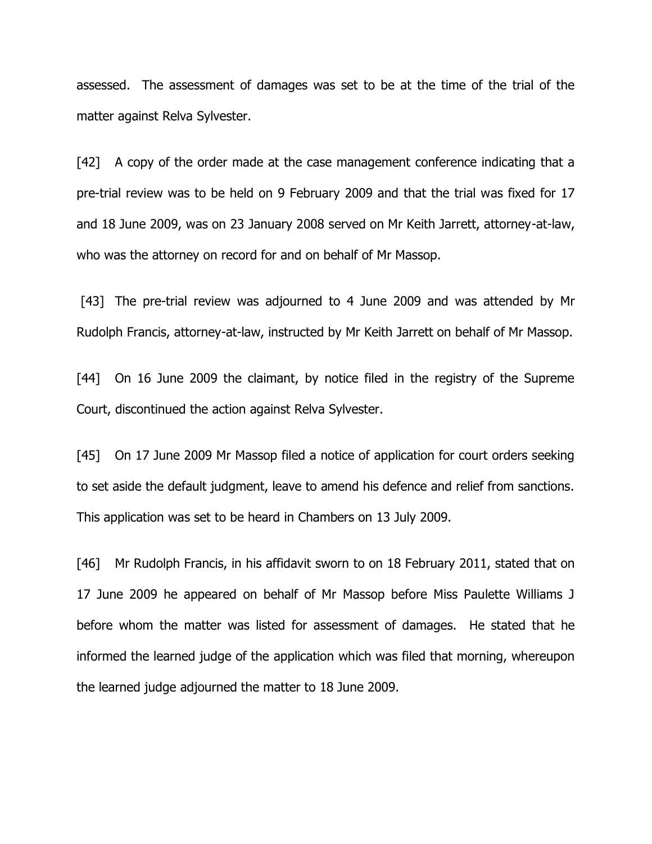assessed. The assessment of damages was set to be at the time of the trial of the matter against Relva Sylvester.

[42] A copy of the order made at the case management conference indicating that a pre-trial review was to be held on 9 February 2009 and that the trial was fixed for 17 and 18 June 2009, was on 23 January 2008 served on Mr Keith Jarrett, attorney-at-law, who was the attorney on record for and on behalf of Mr Massop.

[43] The pre-trial review was adjourned to 4 June 2009 and was attended by Mr Rudolph Francis, attorney-at-law, instructed by Mr Keith Jarrett on behalf of Mr Massop.

[44] On 16 June 2009 the claimant, by notice filed in the registry of the Supreme Court, discontinued the action against Relva Sylvester.

[45] On 17 June 2009 Mr Massop filed a notice of application for court orders seeking to set aside the default judgment, leave to amend his defence and relief from sanctions. This application was set to be heard in Chambers on 13 July 2009.

[46] Mr Rudolph Francis, in his affidavit sworn to on 18 February 2011, stated that on 17 June 2009 he appeared on behalf of Mr Massop before Miss Paulette Williams J before whom the matter was listed for assessment of damages. He stated that he informed the learned judge of the application which was filed that morning, whereupon the learned judge adjourned the matter to 18 June 2009.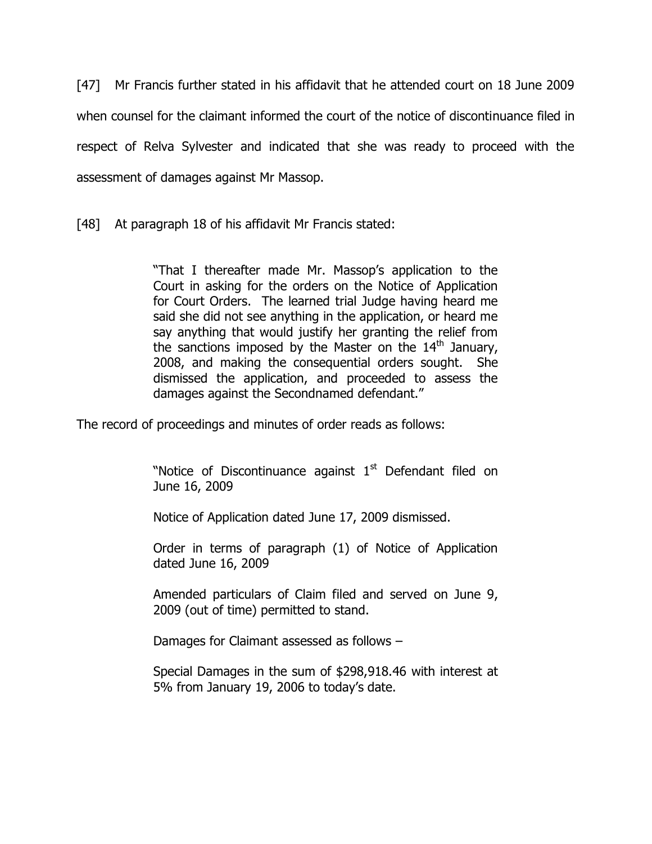[47] Mr Francis further stated in his affidavit that he attended court on 18 June 2009 when counsel for the claimant informed the court of the notice of discontinuance filed in respect of Relva Sylvester and indicated that she was ready to proceed with the assessment of damages against Mr Massop.

[48] At paragraph 18 of his affidavit Mr Francis stated:

"That I thereafter made Mr. Massop's application to the Court in asking for the orders on the Notice of Application for Court Orders. The learned trial Judge having heard me said she did not see anything in the application, or heard me say anything that would justify her granting the relief from the sanctions imposed by the Master on the  $14<sup>th</sup>$  January, 2008, and making the consequential orders sought. She dismissed the application, and proceeded to assess the damages against the Secondnamed defendant."

The record of proceedings and minutes of order reads as follows:

"Notice of Discontinuance against  $1<sup>st</sup>$  Defendant filed on June 16, 2009

Notice of Application dated June 17, 2009 dismissed.

Order in terms of paragraph (1) of Notice of Application dated June 16, 2009

Amended particulars of Claim filed and served on June 9, 2009 (out of time) permitted to stand.

Damages for Claimant assessed as follows –

Special Damages in the sum of \$298,918.46 with interest at 5% from January 19, 2006 to today"s date.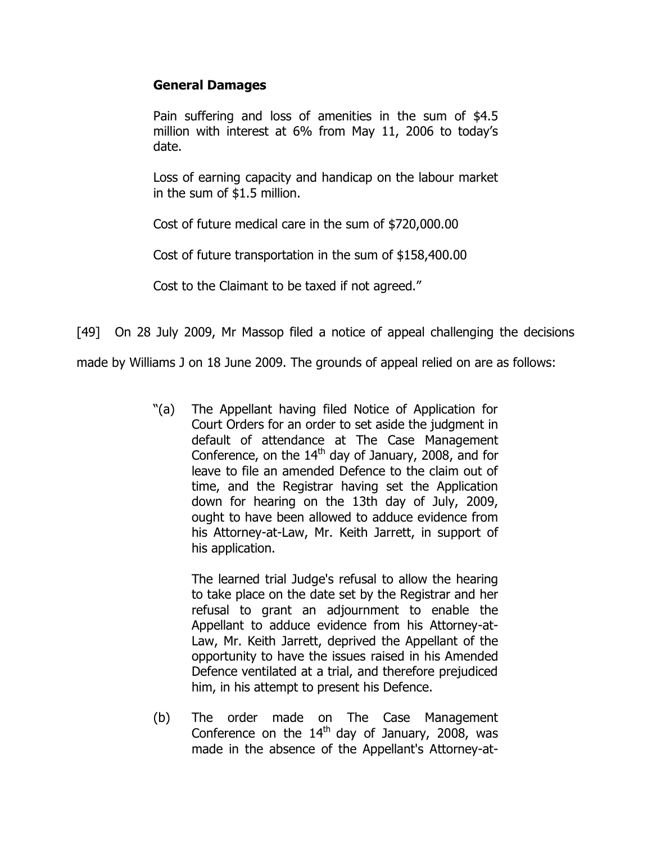## **General Damages**

Pain suffering and loss of amenities in the sum of \$4.5 million with interest at 6% from May 11, 2006 to today"s date.

Loss of earning capacity and handicap on the labour market in the sum of \$1.5 million.

Cost of future medical care in the sum of \$720,000.00

Cost of future transportation in the sum of \$158,400.00

Cost to the Claimant to be taxed if not agreed."

[49] On 28 July 2009, Mr Massop filed a notice of appeal challenging the decisions

made by Williams J on 18 June 2009. The grounds of appeal relied on are as follows:

"(a) The Appellant having filed Notice of Application for Court Orders for an order to set aside the judgment in default of attendance at The Case Management Conference, on the  $14<sup>th</sup>$  day of January, 2008, and for leave to file an amended Defence to the claim out of time, and the Registrar having set the Application down for hearing on the 13th day of July, 2009, ought to have been allowed to adduce evidence from his Attorney-at-Law, Mr. Keith Jarrett, in support of his application.

> The learned trial Judge's refusal to allow the hearing to take place on the date set by the Registrar and her refusal to grant an adjournment to enable the Appellant to adduce evidence from his Attorney-at-Law, Mr. Keith Jarrett, deprived the Appellant of the opportunity to have the issues raised in his Amended Defence ventilated at a trial, and therefore prejudiced him, in his attempt to present his Defence.

(b) The order made on The Case Management Conference on the  $14<sup>th</sup>$  day of January, 2008, was made in the absence of the Appellant's Attorney-at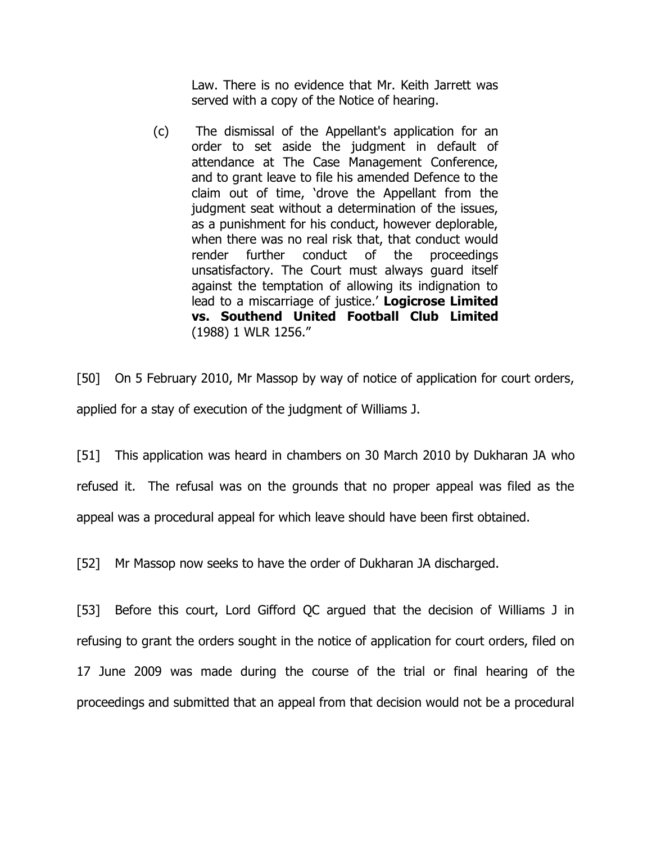Law. There is no evidence that Mr. Keith Jarrett was served with a copy of the Notice of hearing.

(c) The dismissal of the Appellant's application for an order to set aside the judgment in default of attendance at The Case Management Conference, and to grant leave to file his amended Defence to the claim out of time, "drove the Appellant from the judgment seat without a determination of the issues, as a punishment for his conduct, however deplorable, when there was no real risk that, that conduct would render further conduct of the proceedings unsatisfactory. The Court must always guard itself against the temptation of allowing its indignation to lead to a miscarriage of justice." **Logicrose Limited vs. Southend United Football Club Limited**  (1988) 1 WLR 1256."

[50] On 5 February 2010, Mr Massop by way of notice of application for court orders, applied for a stay of execution of the judgment of Williams J.

[51] This application was heard in chambers on 30 March 2010 by Dukharan JA who refused it. The refusal was on the grounds that no proper appeal was filed as the appeal was a procedural appeal for which leave should have been first obtained.

[52] Mr Massop now seeks to have the order of Dukharan JA discharged.

[53] Before this court, Lord Gifford QC argued that the decision of Williams J in refusing to grant the orders sought in the notice of application for court orders, filed on 17 June 2009 was made during the course of the trial or final hearing of the proceedings and submitted that an appeal from that decision would not be a procedural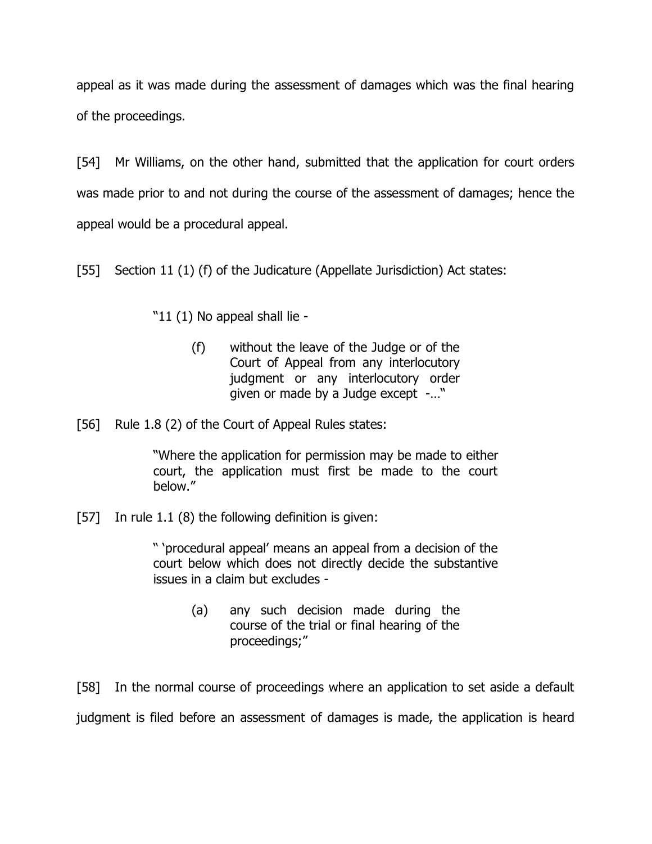appeal as it was made during the assessment of damages which was the final hearing of the proceedings.

[54] Mr Williams, on the other hand, submitted that the application for court orders was made prior to and not during the course of the assessment of damages; hence the appeal would be a procedural appeal.

[55] Section 11 (1) (f) of the Judicature (Appellate Jurisdiction) Act states:

"11 (1) No appeal shall lie -

- (f) without the leave of the Judge or of the Court of Appeal from any interlocutory judgment or any interlocutory order given or made by a Judge except -…"
- [56] Rule 1.8 (2) of the Court of Appeal Rules states:

"Where the application for permission may be made to either court, the application must first be made to the court below."

[57] In rule 1.1 (8) the following definition is given:

" "procedural appeal" means an appeal from a decision of the court below which does not directly decide the substantive issues in a claim but excludes -

> (a) any such decision made during the course of the trial or final hearing of the proceedings;"

[58] In the normal course of proceedings where an application to set aside a default judgment is filed before an assessment of damages is made, the application is heard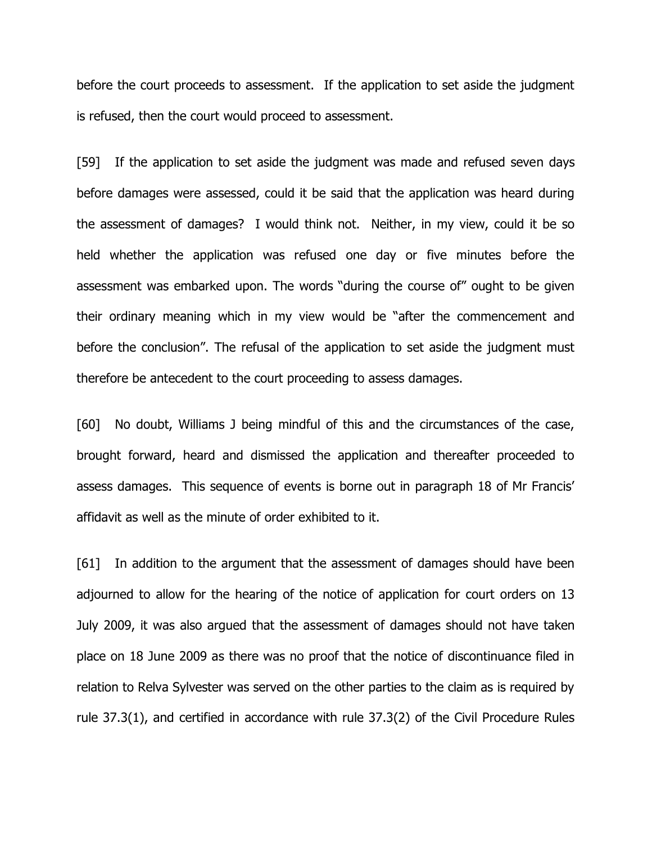before the court proceeds to assessment. If the application to set aside the judgment is refused, then the court would proceed to assessment.

[59] If the application to set aside the judgment was made and refused seven days before damages were assessed, could it be said that the application was heard during the assessment of damages? I would think not. Neither, in my view, could it be so held whether the application was refused one day or five minutes before the assessment was embarked upon. The words "during the course of" ought to be given their ordinary meaning which in my view would be "after the commencement and before the conclusion". The refusal of the application to set aside the judgment must therefore be antecedent to the court proceeding to assess damages.

[60] No doubt, Williams J being mindful of this and the circumstances of the case, brought forward, heard and dismissed the application and thereafter proceeded to assess damages. This sequence of events is borne out in paragraph 18 of Mr Francis" affidavit as well as the minute of order exhibited to it.

[61] In addition to the argument that the assessment of damages should have been adjourned to allow for the hearing of the notice of application for court orders on 13 July 2009, it was also argued that the assessment of damages should not have taken place on 18 June 2009 as there was no proof that the notice of discontinuance filed in relation to Relva Sylvester was served on the other parties to the claim as is required by rule 37.3(1), and certified in accordance with rule 37.3(2) of the Civil Procedure Rules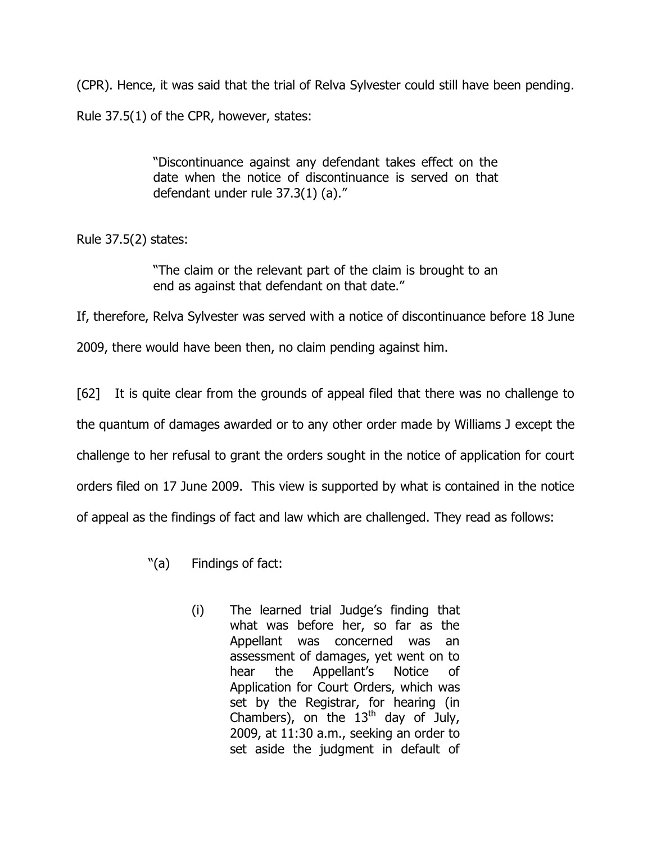(CPR). Hence, it was said that the trial of Relva Sylvester could still have been pending. Rule 37.5(1) of the CPR, however, states:

> "Discontinuance against any defendant takes effect on the date when the notice of discontinuance is served on that defendant under rule 37.3(1) (a)."

Rule 37.5(2) states:

"The claim or the relevant part of the claim is brought to an end as against that defendant on that date."

If, therefore, Relva Sylvester was served with a notice of discontinuance before 18 June

2009, there would have been then, no claim pending against him.

[62] It is quite clear from the grounds of appeal filed that there was no challenge to the quantum of damages awarded or to any other order made by Williams J except the challenge to her refusal to grant the orders sought in the notice of application for court orders filed on 17 June 2009. This view is supported by what is contained in the notice of appeal as the findings of fact and law which are challenged. They read as follows:

- "(a) Findings of fact:
	- (i) The learned trial Judge"s finding that what was before her, so far as the Appellant was concerned was an assessment of damages, yet went on to hear the Appellant"s Notice of Application for Court Orders, which was set by the Registrar, for hearing (in Chambers), on the  $13<sup>th</sup>$  day of July, 2009, at 11:30 a.m., seeking an order to set aside the judgment in default of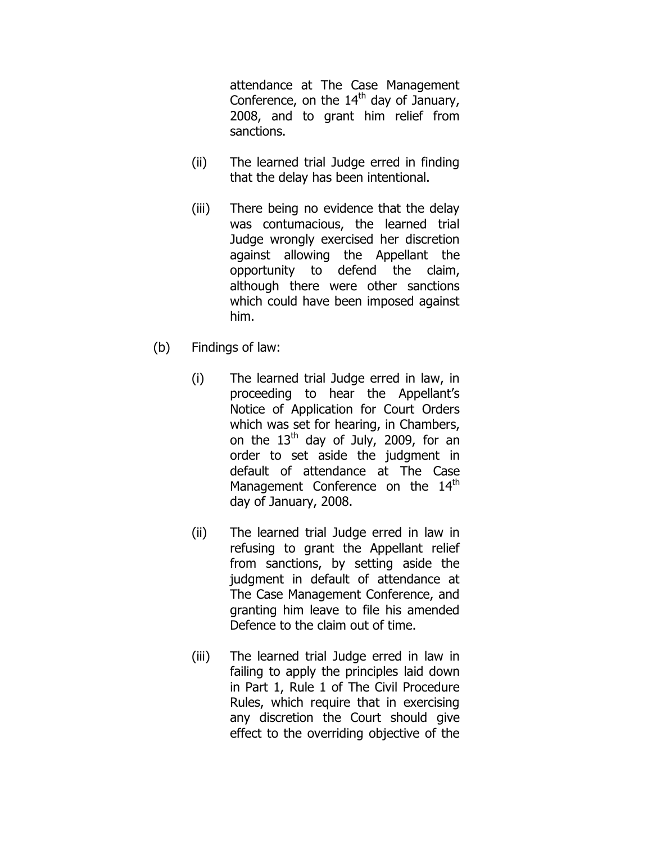attendance at The Case Management Conference, on the  $14<sup>th</sup>$  day of January, 2008, and to grant him relief from sanctions.

- (ii) The learned trial Judge erred in finding that the delay has been intentional.
- (iii) There being no evidence that the delay was contumacious, the learned trial Judge wrongly exercised her discretion against allowing the Appellant the opportunity to defend the claim, although there were other sanctions which could have been imposed against him.
- (b) Findings of law:
	- (i) The learned trial Judge erred in law, in proceeding to hear the Appellant"s Notice of Application for Court Orders which was set for hearing, in Chambers, on the  $13<sup>th</sup>$  day of July, 2009, for an order to set aside the judgment in default of attendance at The Case Management Conference on the 14<sup>th</sup> day of January, 2008.
	- (ii) The learned trial Judge erred in law in refusing to grant the Appellant relief from sanctions, by setting aside the judgment in default of attendance at The Case Management Conference, and granting him leave to file his amended Defence to the claim out of time.
	- (iii) The learned trial Judge erred in law in failing to apply the principles laid down in Part 1, Rule 1 of The Civil Procedure Rules, which require that in exercising any discretion the Court should give effect to the overriding objective of the